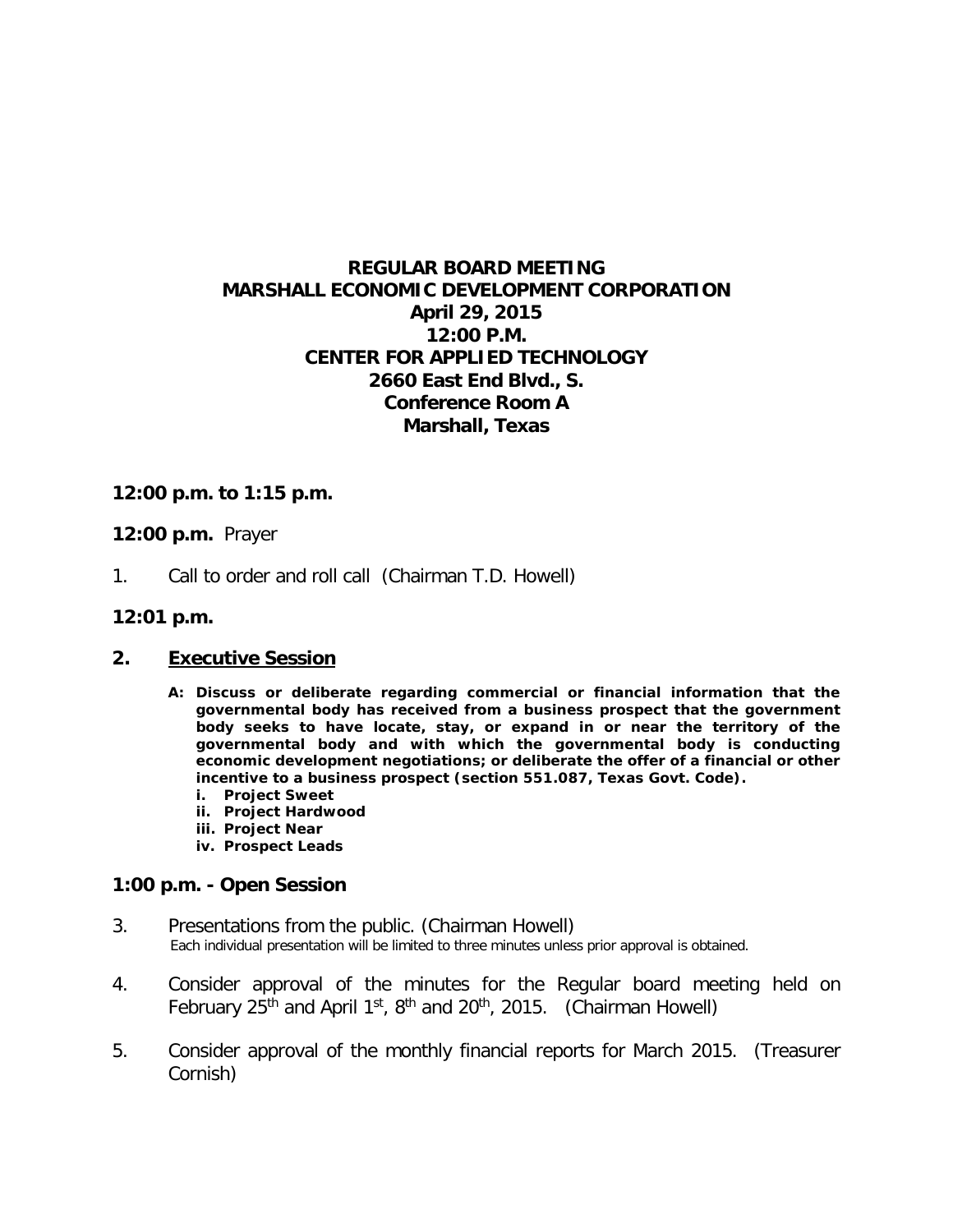# **REGULAR BOARD MEETING MARSHALL ECONOMIC DEVELOPMENT CORPORATION April 29, 2015 12:00 P.M. CENTER FOR APPLIED TECHNOLOGY 2660 East End Blvd., S. Conference Room A Marshall, Texas**

## **12:00 p.m. to 1:15 p.m.**

### **12:00 p.m.** Prayer

1. Call to order and roll call (Chairman T.D. Howell)

#### **12:01 p.m.**

#### **2. Executive Session**

- **A: Discuss or deliberate regarding commercial or financial information that the governmental body has received from a business prospect that the government body seeks to have locate, stay, or expand in or near the territory of the governmental body and with which the governmental body is conducting economic development negotiations; or deliberate the offer of a financial or other incentive to a business prospect (section 551.087, Texas Govt. Code).**
	- **i. Project Sweet**
	- **ii. Project Hardwood**
	- **iii. Project Near**
	- **iv. Prospect Leads**

#### **1:00 p.m. - Open Session**

- 3. Presentations from the public. (Chairman Howell)<br>Each individual presentation will be limited to three minutes unless prior approval is obtained.
- 4. Consider approval of the minutes for the Regular board meeting held on February 25<sup>th</sup> and April 1<sup>st</sup>, 8<sup>th</sup> and 20<sup>th</sup>, 2015. (Chairman Howell)
- 5. Consider approval of the monthly financial reports for March 2015. (Treasurer Cornish)